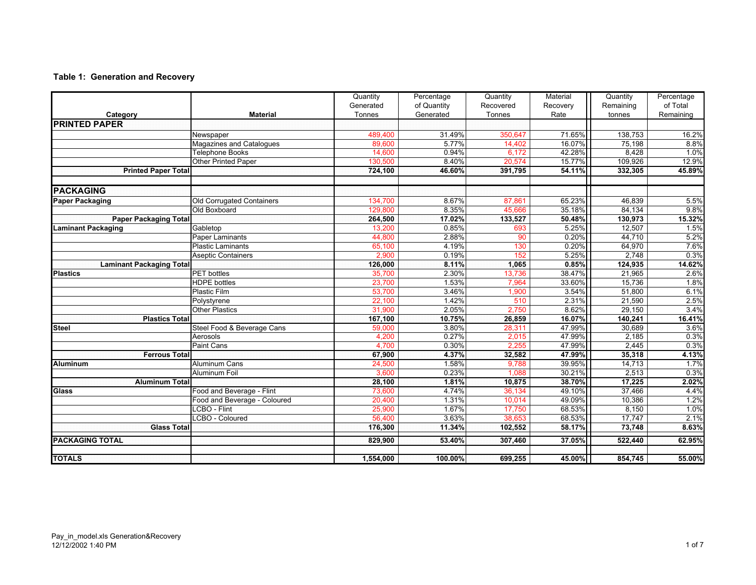## **Table 1: Generation and Recovery**

|                                 |                              | Quantity<br>Generated | Percentage<br>of Quantity | Quantity<br>Recovered | Material<br>Recovery | Quantity<br>Remaining | Percentage<br>of Total |
|---------------------------------|------------------------------|-----------------------|---------------------------|-----------------------|----------------------|-----------------------|------------------------|
| Category                        | <b>Material</b>              | Tonnes                | Generated                 | Tonnes                | Rate                 | tonnes                | Remaining              |
| <b>PRINTED PAPER</b>            |                              |                       |                           |                       |                      |                       |                        |
|                                 | Newspaper                    | 489,400               | 31.49%                    | 350,647               | 71.65%               | 138,753               | 16.2%                  |
|                                 | Magazines and Catalogues     | 89.600                | 5.77%                     | 14,402                | 16.07%               | 75,198                | 8.8%                   |
|                                 | Telephone Books              | 14,600                | 0.94%                     | 6,172                 | 42.28%               | 8,428                 | 1.0%                   |
|                                 | Other Printed Paper          | 130,500               | 8.40%                     | 20,574                | 15.77%               | 109,926               | 12.9%                  |
| <b>Printed Paper Total</b>      |                              | 724,100               | 46.60%                    | 391,795               | 54.11%               | 332,305               | 45.89%                 |
| <b>PACKAGING</b>                |                              |                       |                           |                       |                      |                       |                        |
| <b>Paper Packaging</b>          | Old Corrugated Containers    | 134,700               | 8.67%                     | 87,861                | 65.23%               | 46,839                | 5.5%                   |
|                                 | Old Boxboard                 | 129,800               | 8.35%                     | 45,666                | 35.18%               | 84,134                | 9.8%                   |
| <b>Paper Packaging Total</b>    |                              | 264,500               | 17.02%                    | 133,527               | 50.48%               | 130,973               | 15.32%                 |
| <b>Laminant Packaging</b>       | Gabletop                     | 13.200                | 0.85%                     | 693                   | 5.25%                | 12,507                | 1.5%                   |
|                                 | <b>Paper Laminants</b>       | 44,800                | 2.88%                     | 90                    | 0.20%                | 44,710                | 5.2%                   |
|                                 | <b>Plastic Laminants</b>     | 65,100                | 4.19%                     | 130                   | 0.20%                | 64,970                | 7.6%                   |
|                                 | <b>Aseptic Containers</b>    | 2,900                 | 0.19%                     | 152                   | 5.25%                | 2,748                 | 0.3%                   |
| <b>Laminant Packaging Total</b> |                              | 126,000               | 8.11%                     | 1,065                 | 0.85%                | 124,935               | 14.62%                 |
| <b>Plastics</b>                 | <b>PET</b> bottles           | 35,700                | 2.30%                     | 13,736                | 38.47%               | 21,965                | 2.6%                   |
|                                 | <b>HDPE</b> bottles          | 23,700                | 1.53%                     | 7,964                 | 33.60%               | 15,736                | 1.8%                   |
|                                 | Plastic Film                 | 53,700                | 3.46%                     | 1,900                 | 3.54%                | 51,800                | 6.1%                   |
|                                 | Polystyrene                  | 22,100                | 1.42%                     | 510                   | 2.31%                | 21,590                | 2.5%                   |
|                                 | <b>Other Plastics</b>        | 31,900                | 2.05%                     | 2,750                 | 8.62%                | 29,150                | 3.4%                   |
| <b>Plastics Total</b>           |                              | 167,100               | 10.75%                    | 26,859                | 16.07%               | 140,241               | 16.41%                 |
| <b>Steel</b>                    | Steel Food & Beverage Cans   | 59,000                | 3.80%                     | 28,311                | 47.99%               | 30,689                | 3.6%                   |
|                                 | Aerosols                     | 4,200                 | 0.27%                     | 2,015                 | 47.99%               | 2,185                 | 0.3%                   |
|                                 | Paint Cans                   | 4,700                 | 0.30%                     | 2,255                 | 47.99%               | 2,445                 | 0.3%                   |
| <b>Ferrous Total</b>            |                              | 67,900                | 4.37%                     | 32,582                | 47.99%               | 35,318                | 4.13%                  |
| <b>Aluminum</b>                 | Aluminum Cans                | 24,500                | 1.58%                     | 9,788                 | 39.95%               | 14,713                | 1.7%                   |
|                                 | <b>Aluminum Foil</b>         | 3,600                 | 0.23%                     | 1,088                 | 30.21%               | 2,513                 | 0.3%                   |
| <b>Aluminum Total</b>           |                              | 28,100                | 1.81%                     | 10,875                | 38.70%               | 17,225                | 2.02%                  |
| Glass                           | Food and Beverage - Flint    | 73,600                | 4.74%                     | 36,134                | 49.10%               | 37,466                | 4.4%                   |
|                                 | Food and Beverage - Coloured | 20,400                | 1.31%                     | 10.014                | 49.09%               | 10,386                | 1.2%                   |
|                                 | LCBO - Flint                 | 25,900                | 1.67%                     | 17,750                | 68.53%               | 8,150                 | 1.0%                   |
|                                 | LCBO - Coloured              | 56,400                | 3.63%                     | 38,653                | 68.53%               | 17,747                | 2.1%                   |
| <b>Glass Total</b>              |                              | 176,300               | 11.34%                    | 102,552               | 58.17%               | 73,748                | 8.63%                  |
| <b>PACKAGING TOTAL</b>          |                              | 829,900               | 53.40%                    | 307,460               | 37.05%               | 522,440               | 62.95%                 |
| <b>TOTALS</b>                   |                              | 1,554,000             | 100.00%                   | 699,255               | 45.00%               | 854,745               | 55.00%                 |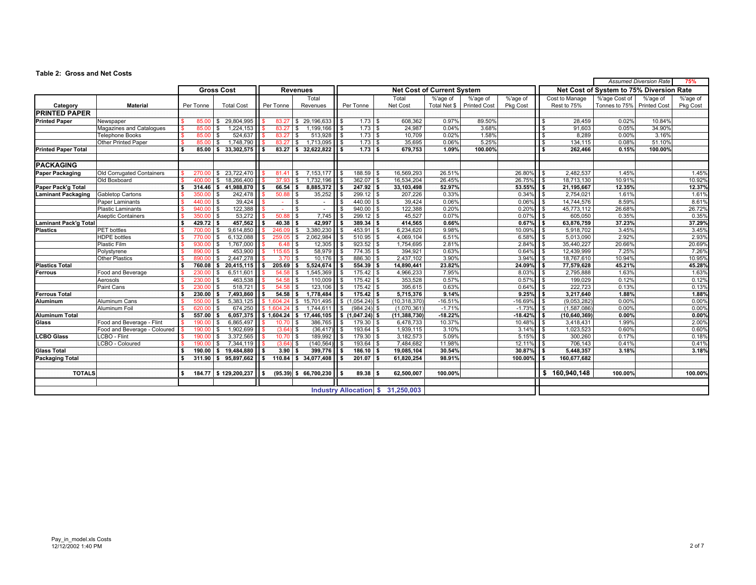#### **Table 2: Gross and Net Costs**

|                              |                              |                                      |                  |                                                            |                          |              |                           |                                 |                                   |                                   |                  |                                          |                   |                  |                          |                            | <b>Assumed Diversion Rate</b> | 75%      |
|------------------------------|------------------------------|--------------------------------------|------------------|------------------------------------------------------------|--------------------------|--------------|---------------------------|---------------------------------|-----------------------------------|-----------------------------------|------------------|------------------------------------------|-------------------|------------------|--------------------------|----------------------------|-------------------------------|----------|
|                              |                              | <b>Gross Cost</b><br><b>Revenues</b> |                  |                                                            |                          |              |                           |                                 | <b>Net Cost of Current System</b> |                                   |                  | Net Cost of System to 75% Diversion Rate |                   |                  |                          |                            |                               |          |
|                              |                              |                                      |                  |                                                            |                          |              | Total                     |                                 |                                   | Total                             | %'age of         | %'age of                                 | %'age of          |                  | Cost to Manage           | %'age Cost of              | %'age of                      | %'age of |
| Category                     | <b>Material</b>              |                                      | Per Tonne        | <b>Total Cost</b>                                          | Per Tonne                |              | Revenues                  | Per Tonne                       |                                   | Net Cost                          | Total Net \$     | <b>Printed Cost</b>                      | <b>Pkg Cost</b>   |                  | Rest to 75%              | Tonnes to 75% Printed Cost |                               | Pkg Cost |
| <b>PRINTED PAPER</b>         |                              |                                      |                  |                                                            |                          |              |                           |                                 |                                   |                                   |                  |                                          |                   |                  |                          |                            |                               |          |
| <b>Printed Paper</b>         | Newspaper                    |                                      | 85.00            | 29,804,995<br>s.                                           | 83.27                    |              | \$29,196,633              | $1.73$ \$<br>II \$              |                                   | 608,362                           | 0.97%            | 89.50%                                   |                   | $\sqrt{3}$       | 28,459                   | 0.02%                      | 10.84%                        |          |
|                              | Magazines and Catalogues     |                                      | 85.00            | 1,224,153<br>\$.                                           | 83.27                    |              | 1,199,166<br><b>S</b>     | l \$<br>1.73                    | \$                                | 24,987                            | 0.04%            | 3.68%                                    |                   | $\mathbf{s}$     | 91,603                   | 0.05%                      | 34.90%                        |          |
|                              | <b>Telephone Books</b>       |                                      | 85.00            | 524,637<br>\$                                              | 83.27                    | <b>S</b>     | $513,928$ \$              | 1.73                            | <b>\$</b>                         | 10,709                            | 0.02%            | 1.58%                                    |                   | $\sqrt{3}$       | 8,289                    | 0.00%                      | 3.16%                         |          |
|                              | Other Printed Paper          |                                      | 85.00            | 1.748.790<br>$\mathbf{s}$                                  | 83.27                    |              | <b>S</b><br>1.713.095     | 1.73<br>Пs                      | l \$                              | 35.695                            | 0.06%            | 5.25%                                    |                   | l \$             | 134,115                  | 0.08%                      | 51.10%                        |          |
| <b>Printed Paper Total</b>   |                              | ÷.                                   | 85.00            | $33,302,575$ $\overline{\phantom{1}}\phantom{1}$ \$<br>l S |                          | $83.27$ \$   | 32.622.822   \$           | 1.73                            | S.                                | 679.753                           | 1.09%            | 100.00%                                  |                   | l s              | 262,466                  | 0.15%                      | 100.00%                       |          |
| <b>PACKAGING</b>             |                              |                                      |                  |                                                            |                          |              |                           |                                 |                                   |                                   |                  |                                          |                   |                  |                          |                            |                               |          |
| <b>Paper Packaging</b>       | Old Corrugated Containers    |                                      | 270.00           | 23,722,470                                                 | 81.41                    |              | 7,153,177<br>$\mathbf{s}$ | 188.59<br>l s                   | $\mathbf{\hat{S}}$                | 16,569,293                        | 26.51%           |                                          | 26.80%            |                  | 2,482,537                | 1.45%                      |                               | 1.45%    |
|                              | Old Boxboard                 |                                      | 400.00           | 18,266,400<br>S.                                           | 37.93                    | S.           | 1,732,196                 | 362.07<br>$\sqrt{3}$            | \$                                | 16,534,204                        | 26.45%           |                                          | 26.75%            | l \$             | 18,713,130               | 10.91%                     |                               | 10.92%   |
| Paper Pack'g Total           |                              | s                                    | 314.46           | 41,988,870<br>s                                            | l S                      | $66.54$ \$   | 8,885,372                 | 247.92<br>l S                   | s.                                | 33,103,498                        | 52.97%           |                                          | 53.55%            | 1 <sup>s</sup>   | 21,195,667               | 12.35%                     |                               | 12.37%   |
| <b>Laminant Packaging</b>    | Gabletop Cartons             |                                      | 350.00           | 242,478                                                    | 50.88                    | l \$         | 35,252                    | 299.12                          | <b>S</b>                          | 207,226                           | 0.33%            |                                          | 0.34%             | l \$             | 2,754,021                | 1.61%                      |                               | 1.61%    |
|                              | Paper Laminants              |                                      | 440.00           | 39,424<br>£.                                               | $\sim$                   | $\sqrt{3}$   | $\sim$                    | $\sqrt{3}$<br>440.00            | $\mathbf{\hat{S}}$                | 39,424                            | 0.06%            |                                          | 0.06%             | l \$             | 14,744,576               | 8.59%                      |                               | 8.61%    |
|                              | <b>Plastic Laminants</b>     |                                      | 940.00           | 122,388<br>$\mathbf{s}$                                    |                          | l \$         | $\sim$                    | 940.00<br>$\sqrt{3}$            | \$                                | 122,388                           | 0.20%            |                                          | 0.20%             | l \$             | 45,773,112               | 26.68%                     |                               | 26.72%   |
|                              | <b>Aseptic Containers</b>    |                                      | 350.00           | 53,272<br>$\mathbf{\hat{s}}$                               | 50.88                    | l \$         | 7,745                     | 299.12<br>$\sqrt{3}$            | <b>S</b>                          | 45,527                            | 0.07%            |                                          | 0.07%             | l s              | 605,050                  | 0.35%                      |                               | 0.35%    |
| <b>Laminant Pack'g Total</b> |                              | s                                    | 429.72           | 457,562<br>l s                                             | 40.38                    | l s          | 42,997                    | 389.34<br>l S                   | 5                                 | 414,565                           | 0.66%            |                                          | 0.67%             | $\overline{1}$   | 63,876,759               | 37.23%                     |                               | 37.29%   |
| <b>Plastics</b>              | <b>PET</b> bottles           |                                      | 700.00           | 9,614,850<br>£.                                            | 246.09                   | l \$         | 3,380,230                 | 453.91<br>\$                    | <b>S</b>                          | 6,234,620                         | 9.98%            |                                          | 10.09%            | l \$             | 5,918,702                | 3.45%                      |                               | 3.45%    |
|                              | <b>HDPE</b> bottles          |                                      | 770.00           | 6,132,088<br>\$                                            | 259.05                   | <b>S</b>     | 2,062,984                 | 510.95<br>$\sqrt{3}$            | $\sqrt{3}$                        | 4,069,104                         | 6.51%            |                                          | 6.58%             | l \$             | 5,013,090                | 2.92%                      |                               | 2.93%    |
|                              | Plastic Film                 |                                      | 930.00           | 1,767,000<br>S                                             | 6.48                     | <b>S</b>     | 12,305                    | 923.52<br>$\sqrt{3}$            | $\sqrt{3}$                        | 1,754,695                         | 2.81%            |                                          | 2.84%             | l \$             | 35,440,227               | 20.66%                     |                               | 20.69%   |
|                              | Polystyrene                  |                                      | 890.00           | 453,900<br>£.                                              | 115.65                   | <b>S</b>     | 58,979                    | 774.35<br>$\sqrt{3}$            | \$                                | 394,921                           | 0.63%            |                                          | 0.64%             | l \$             | 12,439,999               | 7.25%                      |                               | 7.26%    |
|                              | <b>Other Plastics</b>        |                                      | 890.00           | 2,447,278                                                  | 3.70                     | l \$         | 10,176                    | 886.30<br>$\sqrt{3}$            | <b>S</b>                          | 2,437,102                         | 3.90%            |                                          | 3.94%             | l s              | 18,767,610               | 10.94%                     |                               | 10.95%   |
| <b>Plastics Total</b>        |                              | s                                    | 760.08           | 20,415,115<br>s                                            | 205.69<br>l s            | l S          | 5,524,674                 | 554.39<br>l S                   | l s                               | 14,890,441                        | 23.82%           |                                          | 24.09%            | $\overline{1}$   | 77,579,628               | 45.21%                     |                               | 45.28%   |
| Ferrous                      | Food and Beverage            |                                      | 230.00           | 6,511,601                                                  | 54.58                    | l S          | 1,545,369                 | 175.42<br><b>S</b>              | <b>S</b>                          | 4,966,233                         | 7.95%            |                                          | 8.03%             | $\overline{1}$   | 2,795,888                | 1.63%                      |                               | 1.63%    |
|                              | Aerosols                     |                                      | 230.00           | 463,538                                                    | 54.58                    |              | 110,009                   | 175.42<br><b>\$</b>             | $\sqrt{3}$                        | 353,528                           | 0.57%            |                                          | 0.57%             | $\overline{1}$   | 199,029                  | 0.12%                      |                               | 0.12%    |
|                              | Paint Cans                   |                                      | 230.00           | 518,721<br>\$                                              | 54.58                    | l \$         | 123,106                   | 175.42<br>$\sqrt{3}$            | l \$                              | 395,615                           | 0.63%            |                                          | 0.64%             | $\overline{1}$   | 222,723                  | 0.13%                      |                               | 0.13%    |
| <b>Ferrous Total</b>         |                              | s.                                   | 230.00           | 7,493,860<br>s.                                            |                          | $54.58$ \$   | 1.778.484                 | 175.42<br><b>S</b>              | l S                               | 5,715,376                         | 9.14%            |                                          | 9.25%             | 1 <sup>s</sup>   | 3,217,640                | 1.88%                      |                               | 1.88%    |
| Aluminum                     | Aluminum Cans                |                                      | 550.00           | 5,383,125<br>£.                                            | \$1.604.24               |              | 15,701,495<br>$\sqrt{3}$  | \$(1,054.24)                    |                                   | (10, 318, 370)                    | $-16.51%$        |                                          | $-16.69%$         | $\overline{1}$   | (9,053,282)              | 0.00%                      |                               | 0.00%    |
|                              | Aluminum Foil                |                                      | 620.00           | 674.250<br>£.                                              | \$1.604.24               |              | <b>S</b><br>1.744.611     | ll s<br>$(984.24)$ \$           |                                   | (1,070,361)                       | $-1.71%$         |                                          | $-1.73%$          | $\overline{1}$ s | (1,587,086)              | 0.00%                      |                               | 0.00%    |
| <b>Aluminum Total</b>        |                              | s                                    | 557.00           | $6,057,375$ \$ 1,604.24 \$<br>s.                           |                          |              |                           | $17,446,105$ \$ $(1,047.24)$ \$ |                                   | (11, 388, 730)                    | $-18.22%$        |                                          | $-18.42%$         | $\sqrt{5}$       | (10, 640, 369)           | 0.00%                      |                               | 0.00%    |
| Glass                        | Food and Beverage - Flint    |                                      | 190.00           | 6,865,497                                                  | 10.70                    | l S          | 386,765                   | 179.30<br>l \$                  | <b>S</b>                          | 6,478,733                         | 10.37%           |                                          | 10.48%            | $\overline{1}$   | 3,418,431                | 1.99%                      |                               | 2.00%    |
|                              | Food and Beverage - Coloured |                                      | 190.00           | 1,902,699<br>s.                                            | (3.64)                   | <b>S</b>     | (36, 417)                 | $\sqrt{3}$<br>193.64            | $\sqrt{3}$                        | 1,939,115                         | 3.10%            |                                          | 3.14%             | l \$             | 1,023,523                | 0.60%                      |                               | 0.60%    |
| <b>LCBO Glass</b>            | LCBO - Flint                 |                                      | 190.00           | 3,372,565<br>s.                                            | 10.70                    | l \$         | 189,992                   | ll s<br>179.30                  | $\sqrt{3}$                        | 3,182,573                         | 5.09%            |                                          | 5.15%             | $\overline{1}$   | 300,260                  | 0.17%                      |                               | 0.18%    |
|                              | LCBO - Coloured              |                                      | 190.00           | 7.344.119<br>£.                                            | (3.64)                   | l \$         | (140, 564)                | 193.64<br><b>S</b>              | $\mathbf{s}$                      | 7,484,682                         | 11.98%           |                                          | 12.11%            | $\overline{1}$   | 706,143                  | 0.41%                      |                               | 0.41%    |
| <b>Glass Total</b>           |                              | 'S.                                  | 190.00<br>311.90 | 19.484.880<br>s<br>95,897,662                              | 3.90<br>$110.84$ \$<br>s |              | 399,776<br>34,077,408     | 186.10<br>l s<br>201.07<br>li s | l S<br>ŝ.                         | 19,085,104<br>61,820,254          | 30.54%<br>98.91% |                                          | 30.87%<br>100.00% | Is.              | 5,448,357<br>160,677,682 | 3.18%                      |                               | 3.18%    |
| <b>Packaging Total</b>       |                              |                                      |                  | l S                                                        |                          |              |                           |                                 |                                   |                                   |                  |                                          |                   | l s              |                          |                            |                               |          |
| <b>TOTALS</b>                |                              | s.                                   | 184.77           | \$129,200,237                                              | l s                      | $(95.39)$ \$ | 66,700,230                | 89.38<br><b>S</b>               | -5                                | 62.500.007                        | 100.00%          |                                          |                   |                  | \$160,940,148            | 100.00%                    |                               | 100.00%  |
|                              |                              |                                      |                  |                                                            |                          |              |                           |                                 |                                   | Industry Allocation \$ 31,250,003 |                  |                                          |                   |                  |                          |                            |                               |          |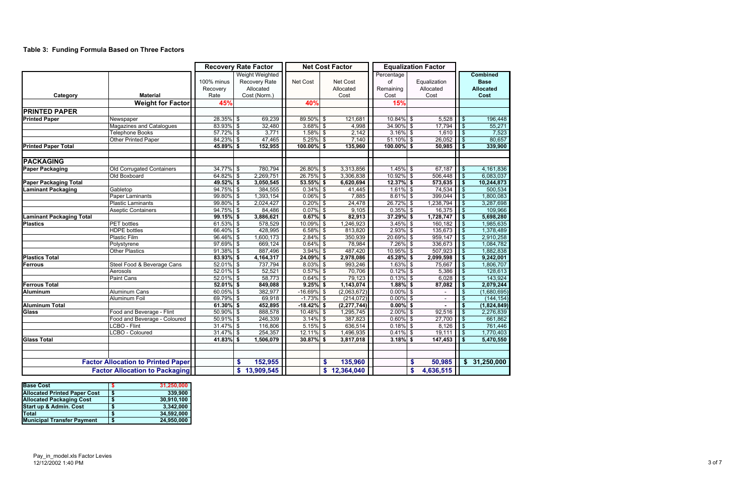## **Table 3: Funding Formula Based on Three Factors**

|                                 |                                           | <b>Recovery Rate Factor</b>    |                           |                                                                      |               | <b>Net Cost Factor</b> | <b>Equalization Factor</b>    |                                       |              |                                   |                         |                                                            |
|---------------------------------|-------------------------------------------|--------------------------------|---------------------------|----------------------------------------------------------------------|---------------|------------------------|-------------------------------|---------------------------------------|--------------|-----------------------------------|-------------------------|------------------------------------------------------------|
| Category                        | <b>Material</b>                           | 100% minus<br>Recovery<br>Rate |                           | <b>Weight Weighted</b><br>Recovery Rate<br>Allocated<br>Cost (Norm.) | Net Cost      |                        | Net Cost<br>Allocated<br>Cost | Percentage<br>of<br>Remaining<br>Cost |              | Equalization<br>Allocated<br>Cost |                         | <b>Combined</b><br><b>Base</b><br><b>Allocated</b><br>Cost |
|                                 | <b>Weight for Factor</b>                  | 45%                            |                           |                                                                      | 40%           |                        |                               | 15%                                   |              |                                   |                         |                                                            |
| <b>PRINTED PAPER</b>            |                                           |                                |                           |                                                                      |               |                        |                               |                                       |              |                                   |                         |                                                            |
| <b>Printed Paper</b>            | Newspaper                                 | 28.35%                         | $\boldsymbol{\mathsf{S}}$ | 69,239                                                               | 89.50% \$     |                        | 121,681                       | $10.84\%$ \$                          |              | 5,528                             | $\sqrt{3}$              | 196,448                                                    |
|                                 | <b>Magazines and Catalogues</b>           | 83.93% \$                      |                           | 32,480                                                               | $3.68\%$ \$   |                        | 4,998                         | 34.90% \$                             |              | 17,794                            | \$                      | 55,271                                                     |
|                                 | <b>Telephone Books</b>                    | 57.72% \$                      |                           | 3,771                                                                | $1.58\%$ \$   |                        | 2,142                         | $3.16\%$ \$                           |              | 1,610                             | $\overline{\mathbf{S}}$ | 7,523                                                      |
|                                 | Other Printed Paper                       | 84.23%                         | $\boldsymbol{\mathsf{s}}$ | 47,465                                                               | $5.25\%$ \$   |                        | 7,140                         | $51.10\%$ \$                          |              | 26,052                            | $\sqrt{3}$              | 80,657                                                     |
| <b>Printed Paper Total</b>      |                                           | 45.89% \$                      |                           | 152,955                                                              | $100.00\%$ \$ |                        | 135,960                       | 100.00% \$                            |              | 50,985                            | $\sqrt{5}$              | 339,900                                                    |
| <b>PACKAGING</b>                |                                           |                                |                           |                                                                      |               |                        |                               |                                       |              |                                   |                         |                                                            |
| <b>Paper Packaging</b>          | <b>Old Corrugated Containers</b>          | 34.77%                         | $\mathfrak{F}$            | 780,794                                                              | 26.80% \$     |                        | 3,313,856                     | $1.45\%$ \$                           |              | 67,187                            | $\sqrt{3}$              | 4,161,836                                                  |
|                                 | Old Boxboard                              | 64.82%                         | $\overline{\mathcal{S}}$  | 2,269,751                                                            | $26.75\%$ \$  |                        | 3,306,838                     | $10.92\%$ \$                          |              | 506,448                           | $\sqrt{3}$              | 6,083,037                                                  |
| <b>Paper Packaging Total</b>    |                                           | 49.52% \$                      |                           | 3,050,545                                                            | $53.55\%$ \$  |                        | 6,620,694                     | $12.37\%$ \$                          |              | 573,635                           | $\sqrt{5}$              | 10,244,873                                                 |
| <b>Laminant Packaging</b>       | Gabletop                                  | $94.75\%$ \$                   |                           | 384,555                                                              | $0.34\%$ \$   |                        | 41,445                        | $1.61\%$ \$                           |              | 74,534                            | $\sqrt{3}$              | 500,534                                                    |
|                                 | <b>Paper Laminants</b>                    | $99.80\%$ \$                   |                           | 1,393,154                                                            | $0.06\%$ \$   |                        | 7,885                         | $8.61\%$ \$                           |              | 399,044                           | $\bigoplus$             | 1,800,083                                                  |
|                                 | <b>Plastic Laminants</b>                  | $99.80\%$ \$                   |                           | 2,024,427                                                            | $0.20\%$ \$   |                        | 24,478                        | $26.72\%$ \$                          |              | 1,238,794                         | $\sqrt{3}$              | 3,287,698                                                  |
|                                 | <b>Aseptic Containers</b>                 | $94.75\%$ \$                   |                           | 84,486                                                               | $0.07\%$ \$   |                        | 9,105                         | $0.35\%$ \$                           |              | 16,375                            | $\sqrt{3}$              | 109,966                                                    |
| <b>Laminant Packaging Total</b> |                                           | 99.15%                         | $\overline{\bullet}$      | 3,886,621                                                            | $0.67\%$ \$   |                        | 82,913                        | $37.29\%$ \$                          |              | 1,728,747                         | $\sqrt{5}$              | 5,698,280                                                  |
| <b>Plastics</b>                 | <b>PET</b> bottles                        | 61.53%                         | $\frac{3}{2}$             | 578,529                                                              | 10.09% \$     |                        | 1,246,923                     | $3.45\%$ \$                           |              | 160,182                           | $\sqrt{3}$              | 1,985,635                                                  |
|                                 | <b>HDPE</b> bottles                       | 66.40% \$                      |                           | 428,995                                                              | $6.58\%$ \$   |                        | 813,820                       | $2.93\%$ \$                           |              | 135,673                           | $\sqrt{ }$              | 1,378,489                                                  |
|                                 | <b>Plastic Film</b>                       | 96.46%                         | $\overline{\mathcal{S}}$  | 1,600,173                                                            | $2.84\%$ \$   |                        | 350,939                       | $20.69\%$ \$                          |              | 959,147                           | $\sqrt{3}$              | 2,910,258                                                  |
|                                 | Polystyrene                               | 97.69%                         | $\overline{\mathcal{S}}$  | 669,124                                                              | $0.64\%$ \$   |                        | 78,984                        | $7.26\%$ \$                           |              | 336,673                           | $\frac{1}{2}$           | 1,084,782                                                  |
|                                 | <b>Other Plastics</b>                     | $91.38\%$ \$                   |                           | 887,496                                                              | $3.94\%$ \$   |                        | 487,420                       | $10.95\%$ \$                          |              | 507,923                           | $\sqrt{3}$              | 1,882,838                                                  |
| <b>Plastics Total</b>           |                                           | $83.93\%$ \$                   |                           | 4,164,317                                                            | $24.09\%$ \$  |                        | 2,978,086                     | 45.28% \$                             |              | 2,099,598                         | $\sqrt{5}$              | 9,242,001                                                  |
| Ferrous                         | Steel Food & Beverage Cans                | $52.01\%$ \$                   |                           | 737,794                                                              | $8.03\%$ \$   |                        | 993,246                       | $1.63\%$ \$                           |              | 75,667                            | $\sqrt{3}$              | 1,806,707                                                  |
|                                 | Aerosols                                  | $52.01\%$ \$                   |                           | 52,521                                                               | $0.57\%$ \$   |                        | 70,706                        | $0.12\%$ \$                           |              | 5,386                             | $\theta$                | 128,613                                                    |
|                                 | Paint Cans                                | 52.01% \$                      |                           | 58,773                                                               | $0.64\%$ \$   |                        | 79,123                        | $0.13\%$ \$                           |              | 6,028                             | $\vert$ \$              | 143,924                                                    |
| <b>Ferrous Total</b>            |                                           | $52.01\%$ \$                   |                           | 849,088                                                              | $9.25\%$ \$   |                        | 1,143,074                     | $1.88\%$ \$                           |              | 87,082                            | \$                      | 2,079,244                                                  |
| <b>Aluminum</b>                 | <b>Aluminum Cans</b>                      | 60.05% \$                      |                           | 382,977                                                              | $-16.69\%$ \$ |                        | (2,063,672)                   | $0.00\%$ \$                           |              | æ                                 | $\bullet$               | (1,680,695)                                                |
|                                 | <b>Aluminum Foil</b>                      | 69.79%                         | $\overline{\mathbf{3}}$   | 69,918                                                               | $-1.73\%$ \$  |                        | (214, 072)                    | $0.00\%$ \$                           |              |                                   | $\frac{1}{2}$           | (144, 154)                                                 |
| <b>Aluminum Total</b>           |                                           | $61.30\%$ \$                   |                           | 452,895                                                              | $-18.42\%$ \$ |                        | (2, 277, 744)                 | $0.00\%$ \$                           |              |                                   | \$                      | (1,824,849)                                                |
| <b>Glass</b>                    | Food and Beverage - Flint                 | 50.90% \$                      |                           | 888,578                                                              | $10.48\%$ \$  |                        | 1,295,745                     | $2.00\%$ \$                           |              | 92,516                            | $\sqrt{3}$              | 2,276,839                                                  |
|                                 | Food and Beverage - Coloured              | $50.91\%$ \$                   |                           | 246,339                                                              | $3.14\%$ \$   |                        | 387,823                       | $0.60\%$ \$                           |              | 27,700                            | $\overline{\bullet}$    | 661,862                                                    |
|                                 | <b>CBO - Flint</b>                        | 31.47%                         | $\overline{\mathfrak{s}}$ | 116,806                                                              | $5.15\%$ \$   |                        | 636,514                       | $0.18\%$ \$                           |              | 8,126                             | l \$                    | 761,446                                                    |
|                                 | <b>CBO - Coloured</b>                     | 31.47%                         | $\frac{1}{2}$             | 254,357                                                              | $12.11\%$ \$  |                        | 1,496,935                     | $0.41\%$ \$                           |              | 19,111                            | $\sqrt{3}$              | 1,770,403                                                  |
| <b>Glass Total</b>              |                                           | 41.83%                         | \$                        | 1,506,079                                                            | $30.87\%$ \$  |                        | 3,817,018                     | $3.18\%$ \$                           |              | 147,453                           | \$                      | 5,470,550                                                  |
|                                 |                                           |                                |                           |                                                                      |               |                        |                               |                                       |              |                                   |                         |                                                            |
|                                 | <b>Factor Allocation to Printed Paper</b> |                                | S                         | 152,955                                                              |               | $\mathbf{s}$           | 135,960                       |                                       | \$           | 50,985                            |                         | \$31,250,000                                               |
|                                 | <b>Factor Allocation to Packaging</b>     |                                | $\mathbf{s}$              | 13,909,545                                                           |               |                        | \$12,364,040                  |                                       | $\mathbf{s}$ | 4,636,515                         |                         |                                                            |

| <b>Base Cost</b>                    |   | 31,250,000 |
|-------------------------------------|---|------------|
| <b>Allocated Printed Paper Cost</b> |   | 339,900    |
| <b>Allocated Packaging Cost</b>     | S | 30,910,100 |
| <b>Start up &amp; Admin. Cost</b>   |   | 3,342,000  |
| <b>Total</b>                        |   | 34,592,000 |
| <b>Municipal Transfer Payment</b>   | S | 24,950,000 |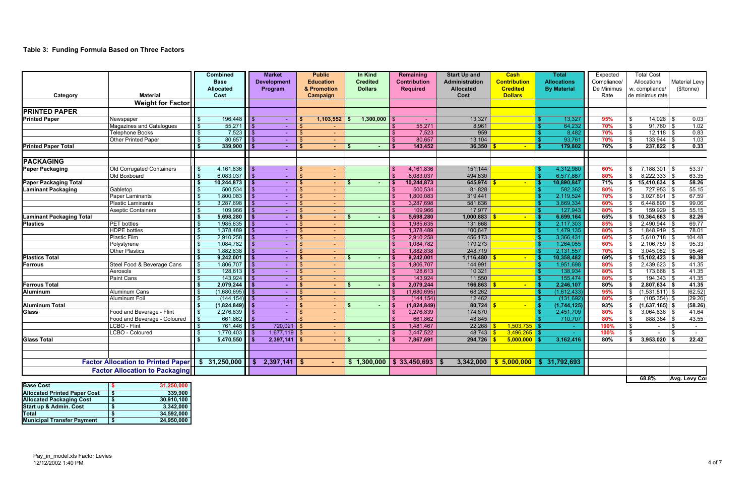# **Table 3: Funding Formula Based on Three Factors**

| <b>Base Cost</b>                    |    | 31,250,000 |
|-------------------------------------|----|------------|
| <b>Allocated Printed Paper Cost</b> | \$ | 339,900    |
| <b>Allocated Packaging Cost</b>     | S  | 30,910,100 |
| <b>Start up &amp; Admin. Cost</b>   | S  | 3,342,000  |
| <b>Total</b>                        | S  | 34,592,000 |
| <b>Municipal Transfer Payment</b>   | \$ | 24,950,000 |

|                                 |                                                    | <b>Combined</b>            |                         | <b>Market</b>      |     | <b>Public</b>    | In Kind         |               | <b>Remaining</b>                        | <b>Start Up and</b>   | <b>Cash</b>         | <b>Total</b>       | Expected    |                                | <b>Total Cost</b> |                      |
|---------------------------------|----------------------------------------------------|----------------------------|-------------------------|--------------------|-----|------------------|-----------------|---------------|-----------------------------------------|-----------------------|---------------------|--------------------|-------------|--------------------------------|-------------------|----------------------|
|                                 |                                                    | <b>Base</b>                |                         | <b>Development</b> |     | <b>Education</b> | <b>Credited</b> |               | <b>Contribution</b>                     | <b>Administration</b> | <b>Contribution</b> | <b>Allocations</b> | Compliance/ |                                | Allocations       | Material Levy        |
|                                 |                                                    | <b>Allocated</b>           |                         | Program            |     | & Promotion      | <b>Dollars</b>  |               | <b>Required</b>                         | <b>Allocated</b>      | <b>Credited</b>     | <b>By Material</b> | De Minimus  |                                | w. compliance/    | (\$/tonne)           |
| Category                        | <b>Material</b>                                    | Cost                       |                         |                    |     | <b>Campaign</b>  |                 |               |                                         | Cost                  | <b>Dollars</b>      |                    | Rate        |                                | de minimus rate   |                      |
|                                 | <b>Weight for Factor</b>                           |                            |                         |                    |     |                  |                 |               |                                         |                       |                     |                    |             |                                |                   |                      |
| <b>PRINTED PAPER</b>            |                                                    |                            |                         |                    |     |                  |                 |               |                                         |                       |                     |                    |             |                                |                   |                      |
| <b>Printed Paper</b>            | Newspaper                                          | 196,448                    |                         |                    |     | 1,103,552        | 1,300,000       |               |                                         | 13,327                |                     | 13,327             | 95%         | $\sqrt{3}$                     | 14,028            | 0.03                 |
|                                 | Magazines and Catalogues                           | 55,271                     | \$                      | $\sim$             |     |                  |                 |               | 55,271                                  | 8,961                 |                     | 64,232             | 70%         | $\boldsymbol{\mathsf{\$}}$     | 91,760            | 1.02                 |
|                                 | <b>Telephone Books</b>                             | 7,523<br>-\$               | $\overline{\mathbf{3}}$ | $\sim$             |     | $\sim$           |                 | \$            | 7,523                                   | 959                   |                     | 8,482              | 70%         | $\Theta$                       | $12,118$ \$       | 0.83                 |
|                                 | Other Printed Paper                                | 80,657                     | $\sqrt{3}$              | $\sim$             | \$  | $\sim$           |                 | $\mathbf{\$}$ | 80,657                                  | 13,104                |                     | 93,761             | 70%         | \$                             | 133,944           | 1.03                 |
| <b>Printed Paper Total</b>      |                                                    | 339,900<br>$\sqrt{5}$      | l \$                    | $\sim$             | S   |                  |                 |               | 143,452                                 | 36,350                |                     | 179,802            | 76%         | l \$                           | $237,822$ \$      | 0.33                 |
| <b>PACKAGING</b>                |                                                    |                            |                         |                    |     |                  |                 |               |                                         |                       |                     |                    |             |                                |                   |                      |
| <b>Paper Packaging</b>          | Old Corrugated Containers                          | 4,161,836                  | l \$                    |                    |     | <b>Section</b>   |                 |               | 4,161,836                               | 151,144               |                     | 4,312,980          | 60%         | $\sqrt[6]{2}$                  | 7,188,301         | 53.37                |
|                                 | Old Boxboard                                       | 6,083,037<br>$\sqrt{3}$    | $\overline{\mathsf{I}}$ | $\sim$             |     | $\sim$ .         |                 | $\mathbf{\$}$ | 6,083,037                               | 494,830               |                     | 6,577,867          | 80%         | $\mathfrak{F}$                 | $8,222,333$ \$    | 63.35                |
| <b>Paper Packaging Total</b>    |                                                    | $\sqrt{5}$<br>10,244,873   | $\overline{\bullet}$    | ÷.                 | -S  | $\sim$           |                 | l Si          | 10,244,873                              | $645,974$ \$          | $\sim$              | 10,890,847         | 71%         | $\bullet$                      | $15,410,634$ \$   | 58.26                |
| <b>Laminant Packaging</b>       | Gabletop                                           | 500,534                    | $\overline{\bullet}$    | $\sim$             |     | $\sim$           |                 | - \$          | 500,534                                 | 81,828                |                     | 582,362            | 80%         | -\$                            | 727,953           | 55.15                |
|                                 | Paper Laminants                                    | $\sqrt[6]{3}$<br>1,800,083 | l \$                    |                    |     | $\sim$ .         |                 | -\$           | 1,800,083                               | 319,441               |                     | 2,119,524          | 70%         | \$                             | 3,027,891         | 67.59                |
|                                 | <b>Plastic Laminants</b>                           | 3,287,698<br>-\$           | l \$                    |                    | \$  | $\sim$           |                 | -\$           | 3,287,698                               | 581,636               |                     | 3,869,334          | 60%         |                                | 6,448,890         | 99.06                |
|                                 | <b>Aseptic Containers</b>                          | 109,966                    | န                       | $\sim$             | \$  | $\sim$           |                 | $\mathbf{\$}$ | 109,966                                 | 17,977                |                     | 127,943            | 80%         | $\sqrt[6]{\frac{1}{2}}$        | 159,929           | 55.15                |
| <b>Laminant Packaging Total</b> |                                                    | 5,698,280<br>l \$          | l s                     | ÷.                 | \$. | $\blacksquare$   |                 | - \$          | 5,698,280                               | 1,000,883             | $\sim$              | 6,699,164          | 65%         | $\mathbf{s}$                   | 10,364,663        | 82.26                |
| <b>Plastics</b>                 | <b>PET</b> bottles                                 | 1,985,635                  | l \$                    |                    |     | $\sim$           |                 | - \$          | 1,985,635                               | 131,668               |                     | 2,117,303          | 85%         |                                | 2,490,944         | 69.77                |
|                                 | <b>HDPE</b> bottles                                | 1,378,489                  | -\$                     |                    |     | $\sim$           |                 | -\$           | 1,378,489                               | 100,647               |                     | 1,479,135          | 80%         | \$                             | $1,848,919$ \$    | 78.01                |
|                                 | <b>Plastic Film</b>                                | 2,910,258<br>$\frac{3}{2}$ | - \$                    |                    |     | $\sim$           |                 | $\sqrt{3}$    | 2,910,258                               | 456,173               |                     | 3,366,431          | 60%         |                                | $5,610,718$ \$    | 104.48               |
|                                 | Polystyrene                                        | 1,084,782                  | \$                      |                    |     | $\sim$           |                 |               | 1,084,782                               | 179,273               |                     | 1,264,055          | 60%         | - \$                           | 2,106,759         | 95.33                |
|                                 | Other Plastics                                     | 1,882,838                  | $\overline{\bullet}$    | $\sim$             |     | $\sim$ .         |                 | $\mathbf{s}$  | 1,882,838                               | 248,719               |                     | 2,131,557          | 70%         | $\mathfrak{F}$                 | 3,045,082         | 95.46                |
| <b>Plastics Total</b>           |                                                    | 9,242,001<br>l \$          | $\sqrt{3}$              | . н.               | S   | $\sim$           |                 | l \$          | 9,242,001                               | 1,116,480             | $\sim$              | 10,358,482         | 69%         | l \$                           | $15,102,423$ \$   | 90.38                |
| <b>Ferrous</b>                  | Steel Food & Beverage Cans                         | 1,806,707<br>l \$          | $\overline{\bullet}$    |                    | \$  | $\sim$           |                 | -\$           | 1,806,707                               | 144,991               |                     | 1,951,698          | 80%         | $\sqrt[6]{\frac{1}{2}}$        | 2,439,623         | 41.35                |
|                                 | Aerosols                                           | 128,613                    | \$                      | $\sim$             |     | $\sim$ $^{-1}$   |                 | $\mathbf{\$}$ | 128,613                                 | 10,321                |                     | 138,934            | 80%         | \$                             | 173,668           | 41.35                |
|                                 | Paint Cans                                         | 143,924<br>$\mathbf{\$}$   | l \$                    |                    |     | $\sim$           |                 | $\mathbf{s}$  | 143,924                                 | 11,550                |                     | 155,474            | 80%         | \$                             | 194,343           | 41.35                |
| <b>Ferrous Total</b>            |                                                    | 2,079,244<br>l \$          | l s                     |                    | S   | reality.         |                 | l \$          | 2,079,244                               | 166,863               | $\sim$              | 2,246,107          | 80%         | \$                             | $2,807,634$ \$    | 41.35                |
| <b>Aluminum</b>                 | <b>Aluminum Cans</b>                               | (1,680,695)<br>$\sqrt{3}$  | \$                      | $\sim$             | \$  | $\sim$           |                 | -\$           | (1,680,695)                             | 68,262                |                     | (1,612,433)        | 95%         | $\overline{\boldsymbol{\phi}}$ | $(1,531,811)$ \$  | (62.52)              |
|                                 | Aluminum Foil                                      | (144, 154)                 | l \$                    |                    |     | $\sim$           |                 | $\mathbf{s}$  | (144, 154)                              | 12,462                |                     | (131, 692)         | 80%         | $\sqrt{3}$                     | $(105, 354)$ \$   | (29.26)              |
| <b>Aluminum Total</b>           |                                                    | $(1,824,849)$ \$<br>l \$   |                         | $\sim$             |     | $\sim$           |                 | l \$          | (1,824,849)                             | $80,724$ \$           | $\sim$              | (1,744,125)        | 93%         | $\bullet$                      | $(1,637,165)$ \$  | (58.26)              |
| <b>Glass</b>                    | Food and Beverage - Flint                          | $\sqrt{3}$<br>2,276,839    | l \$                    |                    |     | $\sim$ .         |                 | $\mathbf{\$}$ | 2,276,839                               | 174,870               |                     | 2,451,709          | 80%         | \$                             | 3,064,636         | 41.64                |
|                                 | Food and Beverage - Coloured                       | $\bullet$<br>661,862       | l \$                    |                    |     | $\sim$           |                 |               | 661,862                                 | 48,845                |                     | 710,707            | 80%         | $\sqrt{3}$                     | 888,384           | 43.55                |
|                                 | <b>CBO - Flint</b>                                 | 761,446                    |                         | 720,021            |     | $\sim$ .         |                 | $\mathbf{s}$  | 1,481,467                               | 22,268                | 1,503,735           |                    | 100%        | $\sqrt[6]{2}$                  | $\sim$            | $\sim$               |
|                                 | <b>LCBO - Coloured</b>                             | 1,770,403<br><b>S</b>      | l \$                    | $1,677,119$ \$     |     | $\sim$           |                 | -\$           | 3,447,522                               | 48,743                | 3,496,265           |                    | 100%        | $\mathbb{S}$                   | $\sim$            | $\sim$               |
| <b>Glass Total</b>              |                                                    | 5,470,550                  | <b>S</b>                | $2,397,141$ \$     |     |                  |                 | - \$          | 7,867,691                               | 294,726               | 5,000,000           | 3,162,416          | 80%         | s.                             | 3,953,020         | 22.42                |
|                                 |                                                    |                            |                         |                    |     |                  |                 |               |                                         |                       |                     |                    |             |                                |                   |                      |
|                                 | Factor Allocation to Printed Paper   \$ 31,250,000 |                            | -\$                     | $2,397,141$ \$     |     |                  |                 |               | $\frac{1}{2}$ 1,300,000 \ \$ 33,450,693 | 3,342,000             | \$5,000,000         | \$31,792,693       |             |                                |                   |                      |
|                                 | <b>Factor Allocation to Packaging</b>              |                            |                         |                    |     |                  |                 |               |                                         |                       |                     |                    |             |                                |                   |                      |
|                                 |                                                    |                            |                         |                    |     |                  |                 |               |                                         |                       |                     |                    |             |                                | 68.8%             | <b>Avg. Levy Cor</b> |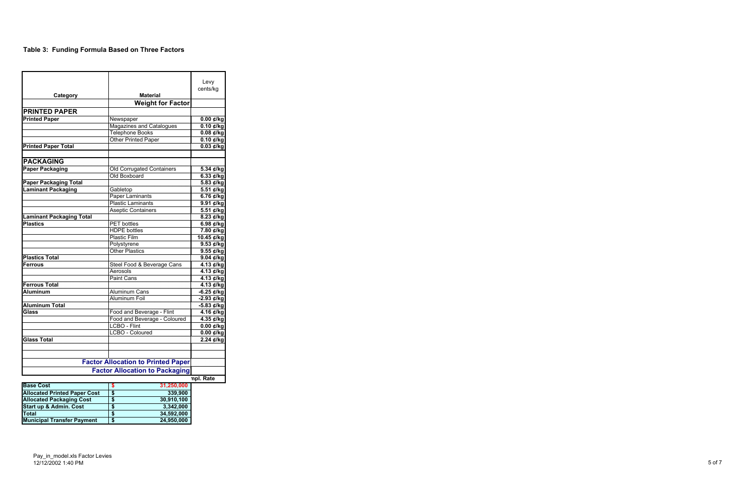# **Table 3: Funding Formula Based on Three Factors**

| Category                                | <b>Material</b>                           | Levy<br>cents/kg                      |
|-----------------------------------------|-------------------------------------------|---------------------------------------|
|                                         | <b>Weight for Factor</b>                  |                                       |
| <b>PRINTED PAPER</b>                    |                                           |                                       |
| <b>Printed Paper</b>                    | Newspaper                                 | $\overline{0.00}$ ¢/kg                |
|                                         | <b>Magazines and Catalogues</b>           | $\overline{0.10 \text{ }\epsilon}$ kg |
|                                         | Telephone Books                           | $0.08 \notin$ /kg                     |
|                                         | <b>Other Printed Paper</b>                | $0.10$ ¢/kg                           |
| <b>Printed Paper Total</b>              |                                           | $0.03 \notin$ /kg                     |
|                                         |                                           |                                       |
| <b>PACKAGING</b>                        |                                           |                                       |
| <b>Paper Packaging</b>                  | Old Corrugated Containers                 | 5.34 ¢/kg                             |
|                                         | Old Boxboard                              | $6.33$ ¢/kg                           |
| <b>Paper Packaging Total</b>            |                                           | 5.83 ¢/kg                             |
| <b>Laminant Packaging</b>               | Gabletop                                  | $\overline{5.51}$ ¢/kg                |
|                                         | <b>Paper Laminants</b>                    | 6.76 ¢/kg                             |
|                                         | <b>Plastic Laminants</b>                  | 9.91 ¢/kg                             |
|                                         | <b>Aseptic Containers</b>                 | $\overline{5.51}$ ¢/kg                |
| <b>Laminant Packaging Total</b>         |                                           | $8.23 \notin$ /kg                     |
| <b>Plastics</b>                         | <b>PET</b> bottles                        | 6.98 $\notin$ /kg                     |
|                                         | <b>HDPE</b> bottles                       | 7.80 ¢/kg                             |
|                                         | <b>Plastic Film</b>                       | $10.45$ ¢/kg                          |
|                                         | Polystyrene                               | 9.53 ¢/kg                             |
|                                         | <b>Other Plastics</b>                     | 9.55 ¢/kg                             |
| <b>Plastics Total</b>                   |                                           | 9.04 ¢/kg                             |
| <b>Ferrous</b>                          | Steel Food & Beverage Cans                | 4.13 ¢/kg                             |
|                                         | Aerosols                                  | 4.13 ¢/kg                             |
|                                         | Paint Cans                                | 4.13 ¢/kg                             |
| <b>Ferrous Total</b><br><b>Aluminum</b> |                                           | 4.13 ¢/kg                             |
|                                         | Aluminum Cans<br>Aluminum Foil            | $-6.25$ ¢/kg                          |
| <b>Aluminum Total</b>                   |                                           | -2.93 ¢/kg                            |
| Glass                                   | Food and Beverage - Flint                 | -5.83 ¢/kg                            |
|                                         | Food and Beverage - Coloured              | 4.16 ¢/kg<br>4.35 ¢/kg                |
|                                         | <b>LCBO - Flint</b>                       | $0.00 \notin$ /kg                     |
|                                         | LCBO - Coloured                           | $0.00 \notin$ /kg                     |
| <b>Glass Total</b>                      |                                           | 2.24 ¢/kg                             |
|                                         |                                           |                                       |
|                                         | <b>Factor Allocation to Printed Paper</b> |                                       |
|                                         | <b>Factor Allocation to Packaging</b>     |                                       |
|                                         |                                           | npl. Rate                             |
| <b>Base Cost</b>                        | 31,250,000<br>\$                          |                                       |
| <b>Allocated Printed Paper Cost</b>     | \$<br>339,900                             |                                       |
| <b>Allocated Packaging Cost</b>         | 30,910,100<br>\$                          |                                       |

**Start up & Admin. Cost 3,342,000 \$ Total 34,592,000 \$ Municipal Transfer Payment 24,950,000 \$**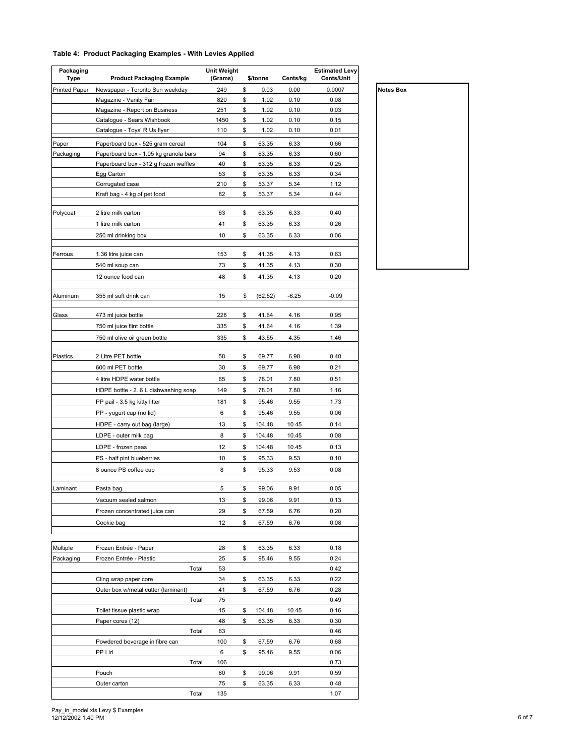#### **Table 4: Product Packaging Examples - With Levies Applied**

| Packaging<br>Type    | <b>Product Packaging Example</b>      | <b>Unit Weight</b><br>(Grams) | \$/tonne      | Cents/kg | <b>Estimated Levy</b><br>Cents/Unit |
|----------------------|---------------------------------------|-------------------------------|---------------|----------|-------------------------------------|
| <b>Printed Paper</b> | Newspaper - Toronto Sun weekday       | 249                           | \$<br>0.03    | 0.00     | 0.0007                              |
|                      | Magazine - Vanity Fair                | 820                           | \$<br>1.02    | 0.10     | 0.08                                |
|                      | Magazine - Report on Business         | 251                           | \$<br>1.02    | 0.10     | 0.03                                |
|                      | Catalogue - Sears Wishbook            | 1450                          | \$<br>1.02    | 0.10     | 0.15                                |
|                      | Catalogue - Toys' R Us flyer          | 110                           | \$<br>1.02    | 0.10     | 0.01                                |
| Paper                | Paperboard box - 525 gram cereal      | 104                           | \$<br>63.35   | 6.33     | 0.66                                |
| Packaging            | Paperboard box - 1.05 kg granola bars | 94                            | \$<br>63.35   | 6.33     | 0.60                                |
|                      | Paperboard box - 312 g frozen waffles | 40                            | \$<br>63.35   | 6.33     | 0.25                                |
|                      | Egg Carton                            | 53                            | \$<br>63.35   | 6.33     | 0.34                                |
|                      | Corrugated case                       | 210                           | \$<br>53.37   | 5.34     | 1.12                                |
|                      | Kraft bag - 4 kg of pet food          | 82                            | \$<br>53.37   | 5.34     | 0.44                                |
| Polycoat             | 2 litre milk carton                   | 63                            | \$<br>63.35   | 6.33     | 0.40                                |
|                      | 1 litre milk carton                   | 41                            | \$<br>63.35   | 6.33     | 0.26                                |
|                      | 250 ml drinking box                   | 10                            | \$<br>63.35   | 6.33     | 0.06                                |
| Ferrous              | 1.36 litre juice can                  | 153                           | \$<br>41.35   | 4.13     | 0.63                                |
|                      | 540 ml soup can                       | 73                            | \$<br>41.35   | 4.13     | 0.30                                |
|                      |                                       |                               |               |          |                                     |
|                      | 12 ounce food can                     | 48                            | \$<br>41.35   | 4.13     | 0.20                                |
| Aluminum             | 355 ml soft drink can                 | 15                            | \$<br>(62.52) | $-6.25$  | $-0.09$                             |
| Glass                | 473 ml juice bottle                   | 228                           | \$<br>41.64   | 4.16     | 0.95                                |
|                      | 750 ml juice flint bottle             | 335                           | \$<br>41.64   | 4.16     | 1.39                                |
|                      | 750 ml olive oil green bottle         | 335                           | \$<br>43.55   | 4.35     | 1.46                                |
| Plastics             | 2 Litre PET bottle                    | 58                            | \$<br>69.77   | 6.98     | 0.40                                |
|                      | 600 ml PET bottle                     | 30                            | \$<br>69.77   | 6.98     | 0.21                                |
|                      | 4 litre HDPE water bottle             | 65                            | \$<br>78.01   | 7.80     | 0.51                                |
|                      |                                       |                               |               |          |                                     |
|                      | HDPE bottle - 2. 6 L dishwashing soap | 149                           | \$<br>78.01   | 7.80     | 1.16                                |
|                      | PP pail - 3.5 kg kitty litter         | 181                           | \$<br>95.46   | 9.55     | 1.73                                |
|                      | PP - yogurt cup (no lid)              | 6                             | \$<br>95.46   | 9.55     | 0.06                                |
|                      | HDPE - carry out bag (large)          | 13                            | \$<br>104.48  | 10.45    | 0.14                                |
|                      | LDPE - outer milk bag                 | 8                             | \$<br>104.48  | 10.45    | 0.08                                |
|                      | LDPE - frozen peas                    | 12                            | \$<br>104.48  | 10.45    | 0.13                                |
|                      | PS - half pint blueberries            | 10                            | \$<br>95.33   | 9.53     | 0.10                                |
|                      | 8 ounce PS coffee cup                 | 8                             | \$<br>95.33   | 9.53     | 0.08                                |
| Laminant             | Pasta bag                             | 5                             | \$<br>99.06   | 9.91     | 0.05                                |
|                      | Vacuum sealed salmon                  | 13                            | \$<br>99.06   | 9.91     | 0.13                                |
|                      | Frozen concentrated juice can         | 29                            | \$<br>67.59   | 6.76     | 0.20                                |
|                      | Cookie bag                            | 12                            | \$<br>67.59   | 6.76     | 0.08                                |
|                      |                                       |                               |               |          |                                     |
| Multiple             | Frozen Entrée - Paper                 | 28                            | \$<br>63.35   | 6.33     | 0.18                                |
| Packaging            | Frozen Entrée - Plastic               | 25                            | \$<br>95.46   | 9.55     | 0.24                                |
|                      | Total                                 | 53                            |               |          | 0.42                                |
|                      | Cling wrap paper core                 | 34                            | \$<br>63.35   | 6.33     | 0.22                                |
|                      | Outer box w/metal cutter (laminant)   | 41                            | \$<br>67.59   | 6.76     | 0.28                                |
|                      | Total                                 | 75                            |               |          | 0.49                                |
|                      | Toilet tissue plastic wrap            | 15                            | \$<br>104.48  | 10.45    | 0.16                                |
|                      | Paper cores (12)                      | 48                            | \$<br>63.35   | 6.33     | 0.30                                |
|                      | Total                                 | 63                            |               |          | 0.46                                |
|                      | Powdered beverage in fibre can        | 100                           | \$<br>67.59   | 6.76     | 0.68                                |
|                      | PP Lid                                | 6                             | \$<br>95.46   | 9.55     | 0.06                                |
|                      | Total                                 | 106                           |               |          | 0.73                                |
|                      | Pouch                                 | 60                            | \$<br>99.06   | 9.91     | 0.59                                |
|                      | Outer carton                          | 75                            | \$<br>63.35   | 6.33     | 0.48                                |
|                      | Total                                 | 135                           |               |          | 1.07                                |